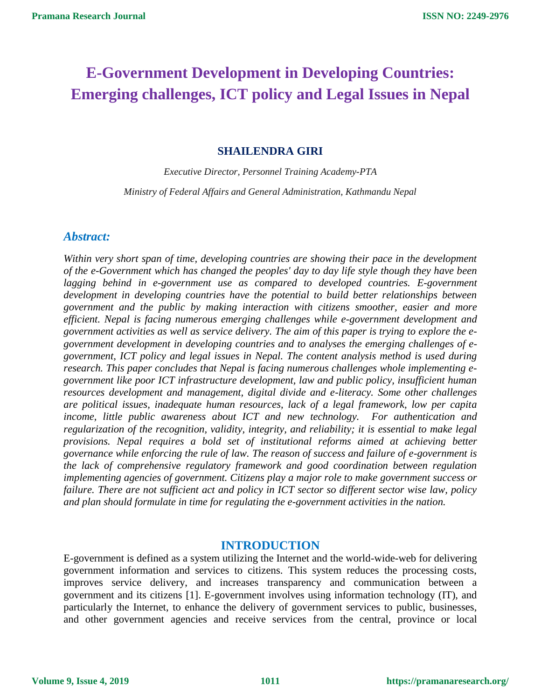# **E-Government Development in Developing Countries: Emerging challenges, ICT policy and Legal Issues in Nepal**

## **SHAILENDRA GIRI**

*Executive Director, Personnel Training Academy-PTA Ministry of Federal Affairs and General Administration, Kathmandu Nepal* 

# *Abstract:*

*Within very short span of time, developing countries are showing their pace in the development of the e-Government which has changed the peoples' day to day life style though they have been lagging behind in e-government use as compared to developed countries. E-government development in developing countries have the potential to build better relationships between government and the public by making interaction with citizens smoother, easier and more efficient. Nepal is facing numerous emerging challenges while e-government development and government activities as well as service delivery. The aim of this paper is trying to explore the egovernment development in developing countries and to analyses the emerging challenges of egovernment, ICT policy and legal issues in Nepal. The content analysis method is used during research. This paper concludes that Nepal is facing numerous challenges whole implementing egovernment like poor ICT infrastructure development, law and public policy, insufficient human resources development and management, digital divide and e-literacy. Some other challenges are political issues, inadequate human resources, lack of a legal framework, low per capita income, little public awareness about ICT and new technology. For authentication and regularization of the recognition, validity, integrity, and reliability; it is essential to make legal provisions. Nepal requires a bold set of institutional reforms aimed at achieving better governance while enforcing the rule of law. The reason of success and failure of e-government is the lack of comprehensive regulatory framework and good coordination between regulation implementing agencies of government. Citizens play a major role to make government success or failure. There are not sufficient act and policy in ICT sector so different sector wise law, policy and plan should formulate in time for regulating the e-government activities in the nation.*

# **INTRODUCTION**

E-government is defined as a system utilizing the Internet and the world-wide-web for delivering government information and services to citizens. This system reduces the processing costs, improves service delivery, and increases transparency and communication between a government and its citizens [1]. E-government involves using information technology (IT), and particularly the Internet, to enhance the delivery of government services to public, businesses, and other government agencies and receive services from the central, province or local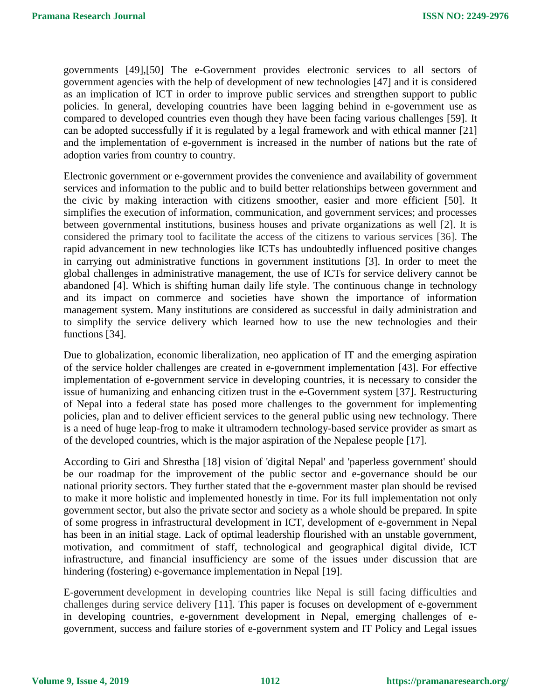governments [49],[50] The e-Government provides electronic services to all sectors of government agencies with the help of development of new technologies [47] and it is considered as an implication of ICT in order to improve public services and strengthen support to public policies. In general, developing countries have been lagging behind in e-government use as compared to developed countries even though they have been facing various challenges [59]. It can be adopted successfully if it is regulated by a legal framework and with ethical manner [21] and the implementation of e-government is increased in the number of nations but the rate of adoption varies from country to country.

Electronic government or e-government provides the convenience and availability of government services and information to the public and to build better relationships between government and the civic by making interaction with citizens smoother, easier and more efficient [50]. It simplifies the execution of information, communication, and government services; and processes between governmental institutions, business houses and private organizations as well [2]. It is considered the primary tool to facilitate the access of the citizens to various services [36]. The rapid advancement in new technologies like ICTs has undoubtedly influenced positive changes in carrying out administrative functions in government institutions [3]. In order to meet the global challenges in administrative management, the use of ICTs for service delivery cannot be abandoned [4]. Which is shifting human daily life style. The continuous change in technology and its impact on commerce and societies have shown the importance of information management system. Many institutions are considered as successful in daily administration and to simplify the service delivery which learned how to use the new technologies and their functions [34].

Due to globalization, economic liberalization, neo application of IT and the emerging aspiration of the service holder challenges are created in e-government implementation [43]. For effective implementation of e-government service in developing countries, it is necessary to consider the issue of humanizing and enhancing citizen trust in the e-Government system [37]. Restructuring of Nepal into a federal state has posed more challenges to the government for implementing policies, plan and to deliver efficient services to the general public using new technology. There is a need of huge leap-frog to make it ultramodern technology-based service provider as smart as of the developed countries, which is the major aspiration of the Nepalese people [17].

According to Giri and Shrestha [18] vision of 'digital Nepal' and 'paperless government' should be our roadmap for the improvement of the public sector and e-governance should be our national priority sectors. They further stated that the e-government master plan should be revised to make it more holistic and implemented honestly in time. For its full implementation not only government sector, but also the private sector and society as a whole should be prepared. In spite of some progress in infrastructural development in ICT, development of e-government in Nepal has been in an initial stage. Lack of optimal leadership flourished with an unstable government, motivation, and commitment of staff, technological and geographical digital divide, ICT infrastructure, and financial insufficiency are some of the issues under discussion that are hindering (fostering) e-governance implementation in Nepal [19].

E-government development in developing countries like Nepal is still facing difficulties and challenges during service delivery [11]. This paper is focuses on development of e-government in developing countries, e-government development in Nepal, emerging challenges of egovernment, success and failure stories of e-government system and IT Policy and Legal issues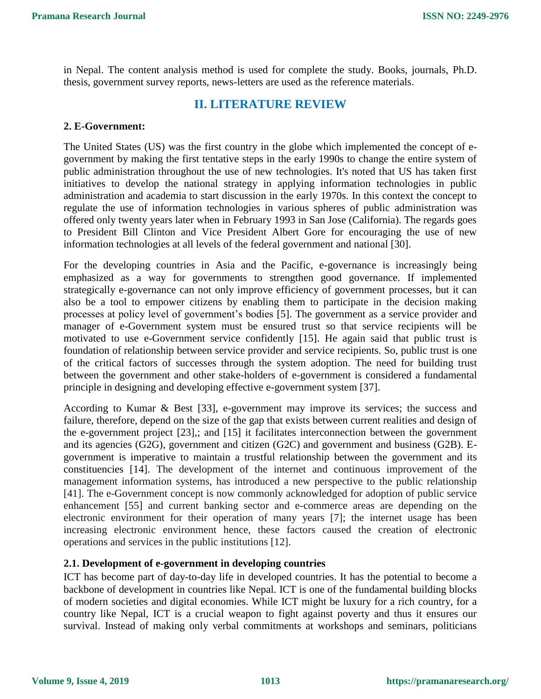in Nepal. The content analysis method is used for complete the study. Books, journals, Ph.D. thesis, government survey reports, news-letters are used as the reference materials.

# **II. LITERATURE REVIEW**

## **2. E-Government:**

The United States (US) was the first country in the globe which implemented the concept of egovernment by making the first tentative steps in the early 1990s to change the entire system of public administration throughout the use of new technologies. It's noted that US has taken first initiatives to develop the national strategy in applying information technologies in public administration and academia to start discussion in the early 1970s. In this context the concept to regulate the use of information technologies in various spheres of public administration was offered only twenty years later when in February 1993 in San Jose (California). The regards goes to President Bill Clinton and Vice President Albert Gore for encouraging the use of new information technologies at all levels of the federal government and national [30].

For the developing countries in Asia and the Pacific, e-governance is increasingly being emphasized as a way for governments to strengthen good governance. If implemented strategically e-governance can not only improve efficiency of government processes, but it can also be a tool to empower citizens by enabling them to participate in the decision making processes at policy level of government's bodies [5]. The government as a service provider and manager of e-Government system must be ensured trust so that service recipients will be motivated to use e-Government service confidently [15]. He again said that public trust is foundation of relationship between service provider and service recipients. So, public trust is one of the critical factors of successes through the system adoption. The need for building trust between the government and other stake-holders of e-government is considered a fundamental principle in designing and developing effective e-government system [37].

According to Kumar & Best [33], e-government may improve its services; the success and failure, therefore, depend on the size of the gap that exists between current realities and design of the e-government project [23],; and [15] it facilitates interconnection between the government and its agencies (G2G), government and citizen (G2C) and government and business (G2B). Egovernment is imperative to maintain a trustful relationship between the government and its constituencies [14]. The development of the internet and continuous improvement of the management information systems, has introduced a new perspective to the public relationship [41]. The e-Government concept is now commonly acknowledged for adoption of public service enhancement [55] and current banking sector and e-commerce areas are depending on the electronic environment for their operation of many years [7]; the internet usage has been increasing electronic environment hence, these factors caused the creation of electronic operations and services in the public institutions [12].

#### **2.1. Development of e-government in developing countries**

ICT has become part of day-to-day life in developed countries. It has the potential to become a backbone of development in countries like Nepal. ICT is one of the fundamental building blocks of modern societies and digital economies. While ICT might be luxury for a rich country, for a country like Nepal, ICT is a crucial weapon to fight against poverty and thus it ensures our survival. Instead of making only verbal commitments at workshops and seminars, politicians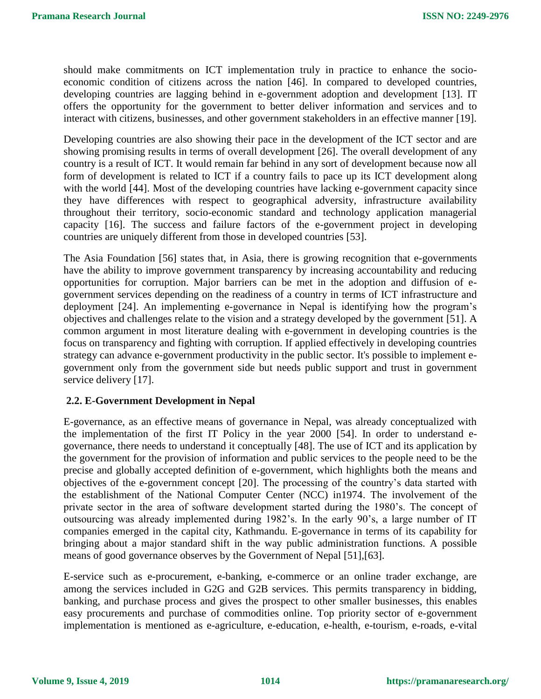should make commitments on ICT implementation truly in practice to enhance the socioeconomic condition of citizens across the nation [46]. In compared to developed countries, developing countries are lagging behind in e-government adoption and development [13]. IT offers the opportunity for the government to better deliver information and services and to interact with citizens, businesses, and other government stakeholders in an effective manner [19].

Developing countries are also showing their pace in the development of the ICT sector and are showing promising results in terms of overall development [26]. The overall development of any country is a result of ICT. It would remain far behind in any sort of development because now all form of development is related to ICT if a country fails to pace up its ICT development along with the world [44]. Most of the developing countries have lacking e-government capacity since they have differences with respect to geographical adversity, infrastructure availability throughout their territory, socio-economic standard and technology application managerial capacity [16]. The success and failure factors of the e-government project in developing countries are uniquely different from those in developed countries [53].

The Asia Foundation [56] states that, in Asia, there is growing recognition that e-governments have the ability to improve government transparency by increasing accountability and reducing opportunities for corruption. Major barriers can be met in the adoption and diffusion of egovernment services depending on the readiness of a country in terms of ICT infrastructure and deployment [24]. An implementing e-governance in Nepal is identifying how the program's objectives and challenges relate to the vision and a strategy developed by the government [51]. A common argument in most literature dealing with e-government in developing countries is the focus on transparency and fighting with corruption. If applied effectively in developing countries strategy can advance e-government productivity in the public sector. It's possible to implement egovernment only from the government side but needs public support and trust in government service delivery [17].

## **2.2. E-Government Development in Nepal**

E-governance, as an effective means of governance in Nepal, was already conceptualized with the implementation of the first IT Policy in the year 2000 [54]. In order to understand egovernance, there needs to understand it conceptually [48]. The use of ICT and its application by the government for the provision of information and public services to the people need to be the precise and globally accepted definition of e-government, which highlights both the means and objectives of the e-government concept [20]. The processing of the country's data started with the establishment of the National Computer Center (NCC) in1974. The involvement of the private sector in the area of software development started during the 1980's. The concept of outsourcing was already implemented during 1982's. In the early 90's, a large number of IT companies emerged in the capital city, Kathmandu. E-governance in terms of its capability for bringing about a major standard shift in the way public administration functions. A possible means of good governance observes by the Government of Nepal [51],[63].

E-service such as e-procurement, e-banking, e-commerce or an online trader exchange, are among the services included in G2G and G2B services. This permits transparency in bidding, banking, and purchase process and gives the prospect to other smaller businesses, this enables easy procurements and purchase of commodities online. Top priority sector of e-government implementation is mentioned as e-agriculture, e-education, e-health, e-tourism, e-roads, e-vital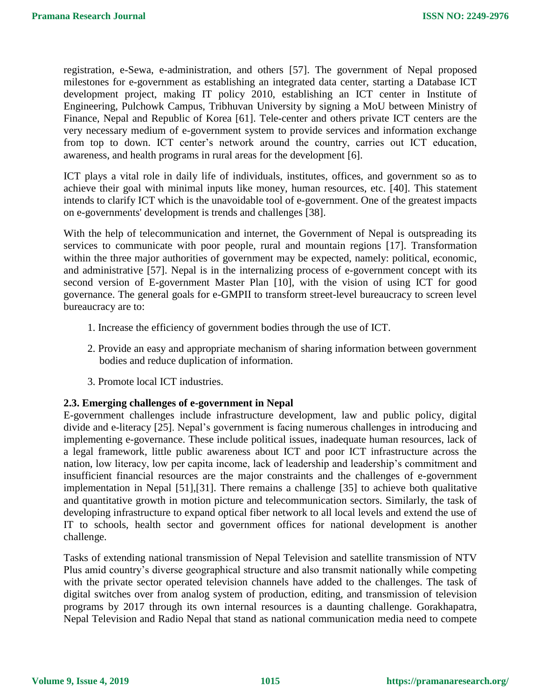registration, e-Sewa, e-administration, and others [57]. The government of Nepal proposed milestones for e-government as establishing an integrated data center, starting a Database ICT development project, making IT policy 2010, establishing an ICT center in Institute of Engineering, Pulchowk Campus, Tribhuvan University by signing a MoU between Ministry of Finance, Nepal and Republic of Korea [61]. Tele-center and others private ICT centers are the very necessary medium of e-government system to provide services and information exchange from top to down. ICT center's network around the country, carries out ICT education, awareness, and health programs in rural areas for the development [6].

ICT plays a vital role in daily life of individuals, institutes, offices, and government so as to achieve their goal with minimal inputs like money, human resources, etc. [40]. This statement intends to clarify ICT which is the unavoidable tool of e-government. One of the greatest impacts on e-governments' development is trends and challenges [38].

With the help of telecommunication and internet, the Government of Nepal is outspreading its services to communicate with poor people, rural and mountain regions [17]. Transformation within the three major authorities of government may be expected, namely: political, economic, and administrative [57]. Nepal is in the internalizing process of e-government concept with its second version of E-government Master Plan [10], with the vision of using ICT for good governance. The general goals for e-GMPII to transform street-level bureaucracy to screen level bureaucracy are to:

- 1. Increase the efficiency of government bodies through the use of ICT.
- 2. Provide an easy and appropriate mechanism of sharing information between government bodies and reduce duplication of information.
- 3. Promote local ICT industries.

## **2.3. Emerging challenges of e-government in Nepal**

E-government challenges include infrastructure development, law and public policy, digital divide and e-literacy [25]. Nepal's government is facing numerous challenges in introducing and implementing e-governance. These include political issues, inadequate human resources, lack of a legal framework, little public awareness about ICT and poor ICT infrastructure across the nation, low literacy, low per capita income, lack of leadership and leadership's commitment and insufficient financial resources are the major constraints and the challenges of e-government implementation in Nepal [51],[31]. There remains a challenge [35] to achieve both qualitative and quantitative growth in motion picture and telecommunication sectors. Similarly, the task of developing infrastructure to expand optical fiber network to all local levels and extend the use of IT to schools, health sector and government offices for national development is another challenge.

Tasks of extending national transmission of Nepal Television and satellite transmission of NTV Plus amid country's diverse geographical structure and also transmit nationally while competing with the private sector operated television channels have added to the challenges. The task of digital switches over from analog system of production, editing, and transmission of television programs by 2017 through its own internal resources is a daunting challenge. Gorakhapatra, Nepal Television and Radio Nepal that stand as national communication media need to compete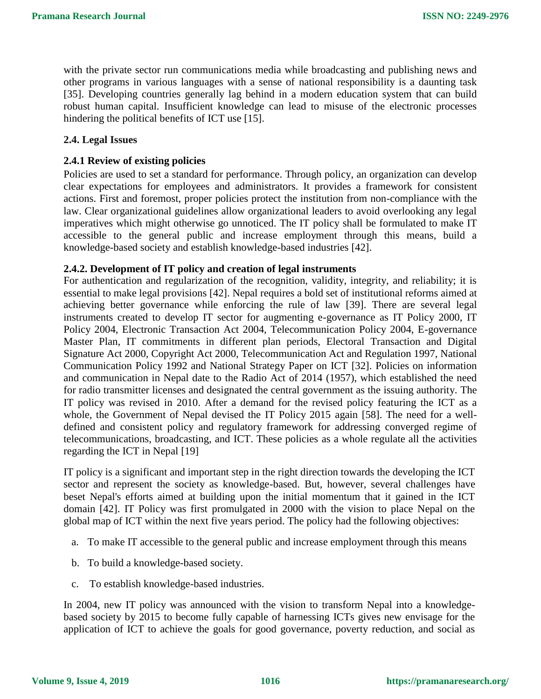with the private sector run communications media while broadcasting and publishing news and other programs in various languages with a sense of national responsibility is a daunting task [35]. Developing countries generally lag behind in a modern education system that can build robust human capital. Insufficient knowledge can lead to misuse of the electronic processes hindering the political benefits of ICT use [15].

## **2.4. Legal Issues**

#### **2.4.1 Review of existing policies**

Policies are used to set a standard for performance. Through policy, an organization can develop clear expectations for employees and administrators. It provides a framework for consistent actions. First and foremost, proper policies protect the institution from non-compliance with the law. Clear organizational guidelines allow organizational leaders to avoid overlooking any legal imperatives which might otherwise go unnoticed. The IT policy shall be formulated to make IT accessible to the general public and increase employment through this means, build a knowledge-based society and establish knowledge-based industries [42].

#### **2.4.2. Development of IT policy and creation of legal instruments**

For authentication and regularization of the recognition, validity, integrity, and reliability; it is essential to make legal provisions [42]. Nepal requires a bold set of institutional reforms aimed at achieving better governance while enforcing the rule of law [39]. There are several legal instruments created to develop IT sector for augmenting e-governance as IT Policy 2000, IT Policy 2004, Electronic Transaction Act 2004, Telecommunication Policy 2004, E-governance Master Plan, IT commitments in different plan periods, Electoral Transaction and Digital Signature Act 2000, Copyright Act 2000, Telecommunication Act and Regulation 1997, National Communication Policy 1992 and National Strategy Paper on ICT [32]. Policies on information and communication in Nepal date to the Radio Act of 2014 (1957), which established the need for radio transmitter licenses and designated the central government as the issuing authority. The IT policy was revised in 2010. After a demand for the revised policy featuring the ICT as a whole, the Government of Nepal devised the IT Policy 2015 again [58]. The need for a welldefined and consistent policy and regulatory framework for addressing converged regime of telecommunications, broadcasting, and ICT. These policies as a whole regulate all the activities regarding the ICT in Nepal [19]

IT policy is a significant and important step in the right direction towards the developing the ICT sector and represent the society as knowledge-based. But, however, several challenges have beset Nepal's efforts aimed at building upon the initial momentum that it gained in the ICT domain [42]. IT Policy was first promulgated in 2000 with the vision to place Nepal on the global map of ICT within the next five years period. The policy had the following objectives:

- a. To make IT accessible to the general public and increase employment through this means
- b. To build a knowledge-based society.
- c. To establish knowledge-based industries.

In 2004, new IT policy was announced with the vision to transform Nepal into a knowledgebased society by 2015 to become fully capable of harnessing ICTs gives new envisage for the application of ICT to achieve the goals for good governance, poverty reduction, and social as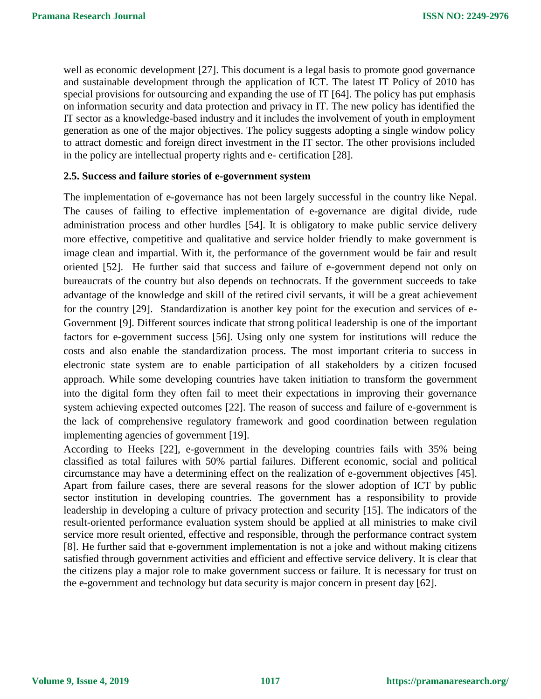well as economic development [27]. This document is a legal basis to promote good governance and sustainable development through the application of ICT. The latest IT Policy of 2010 has special provisions for outsourcing and expanding the use of IT [64]. The policy has put emphasis on information security and data protection and privacy in IT. The new policy has identified the IT sector as a knowledge-based industry and it includes the involvement of youth in employment generation as one of the major objectives. The policy suggests adopting a single window policy to attract domestic and foreign direct investment in the IT sector. The other provisions included in the policy are intellectual property rights and e- certification [28].

## **2.5. Success and failure stories of e-government system**

The implementation of e-governance has not been largely successful in the country like Nepal. The causes of failing to effective implementation of e-governance are digital divide, rude administration process and other hurdles [54]. It is obligatory to make public service delivery more effective, competitive and qualitative and service holder friendly to make government is image clean and impartial. With it, the performance of the government would be fair and result oriented [52]. He further said that success and failure of e-government depend not only on bureaucrats of the country but also depends on technocrats. If the government succeeds to take advantage of the knowledge and skill of the retired civil servants, it will be a great achievement for the country [29]. Standardization is another key point for the execution and services of e-Government [9]. Different sources indicate that strong political leadership is one of the important factors for e-government success [56]. Using only one system for institutions will reduce the costs and also enable the standardization process. The most important criteria to success in electronic state system are to enable participation of all stakeholders by a citizen focused approach. While some developing countries have taken initiation to transform the government into the digital form they often fail to meet their expectations in improving their governance system achieving expected outcomes [22]. The reason of success and failure of e-government is the lack of comprehensive regulatory framework and good coordination between regulation implementing agencies of government [19].

According to Heeks [22], e-government in the developing countries fails with 35% being classified as total failures with 50% partial failures. Different economic, social and political circumstance may have a determining effect on the realization of e-government objectives [45]. Apart from failure cases, there are several reasons for the slower adoption of ICT by public sector institution in developing countries. The government has a responsibility to provide leadership in developing a culture of privacy protection and security [15]. The indicators of the result-oriented performance evaluation system should be applied at all ministries to make civil service more result oriented, effective and responsible, through the performance contract system [8]. He further said that e-government implementation is not a joke and without making citizens satisfied through government activities and efficient and effective service delivery. It is clear that the citizens play a major role to make government success or failure. It is necessary for trust on the e-government and technology but data security is major concern in present day [62].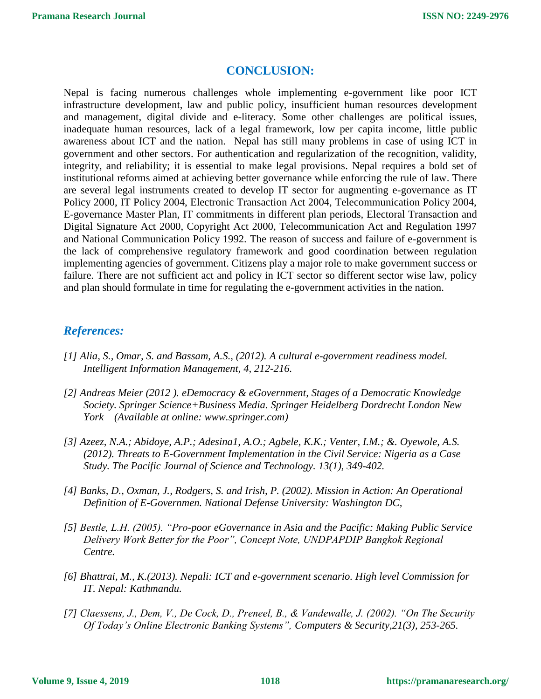# **CONCLUSION:**

Nepal is facing numerous challenges whole implementing e-government like poor ICT infrastructure development, law and public policy, insufficient human resources development and management, digital divide and e-literacy. Some other challenges are political issues, inadequate human resources, lack of a legal framework, low per capita income, little public awareness about ICT and the nation. Nepal has still many problems in case of using ICT in government and other sectors. For authentication and regularization of the recognition, validity, integrity, and reliability; it is essential to make legal provisions. Nepal requires a bold set of institutional reforms aimed at achieving better governance while enforcing the rule of law. There are several legal instruments created to develop IT sector for augmenting e-governance as IT Policy 2000, IT Policy 2004, Electronic Transaction Act 2004, Telecommunication Policy 2004, E-governance Master Plan, IT commitments in different plan periods, Electoral Transaction and Digital Signature Act 2000, Copyright Act 2000, Telecommunication Act and Regulation 1997 and National Communication Policy 1992. The reason of success and failure of e-government is the lack of comprehensive regulatory framework and good coordination between regulation implementing agencies of government. Citizens play a major role to make government success or failure. There are not sufficient act and policy in ICT sector so different sector wise law, policy and plan should formulate in time for regulating the e-government activities in the nation.

# *References:*

- *[1] Alia, S., Omar, S. and Bassam, A.S., (2012). A cultural e-government readiness model. Intelligent Information Management, 4, 212-216.*
- *[2] Andreas Meier (2012 ). eDemocracy & eGovernment, Stages of a Democratic Knowledge Society. Springer Science+Business Media. Springer Heidelberg Dordrecht London New York (Available at online: www.springer.com)*
- *[3] Azeez, N.A.; Abidoye, A.P.; Adesina1, A.O.; Agbele, K.K.; Venter, I.M.; &. Oyewole, A.S. (2012). Threats to E-Government Implementation in the Civil Service: Nigeria as a Case Study. The Pacific Journal of Science and Technology. 13(1), 349-402.*
- *[4] Banks, D., Oxman, J., Rodgers, S. and Irish, P. (2002). Mission in Action: An Operational Definition of E-Governmen. National Defense University: Washington DC,*
- *[5] Bestle, L.H. (2005). "Pro-poor eGovernance in Asia and the Pacific: Making Public Service Delivery Work Better for the Poor", Concept Note, UNDPAPDIP Bangkok Regional Centre.*
- *[6] Bhattrai, M., K.(2013). Nepali: ICT and e-government scenario. High level Commission for IT. Nepal: Kathmandu.*
- *[7] Claessens, J., Dem, V., De Cock, D., Preneel, B., & Vandewalle, J. (2002). "On The Security Of Today's Online Electronic Banking Systems", Computers & Security,21(3), 253-265.*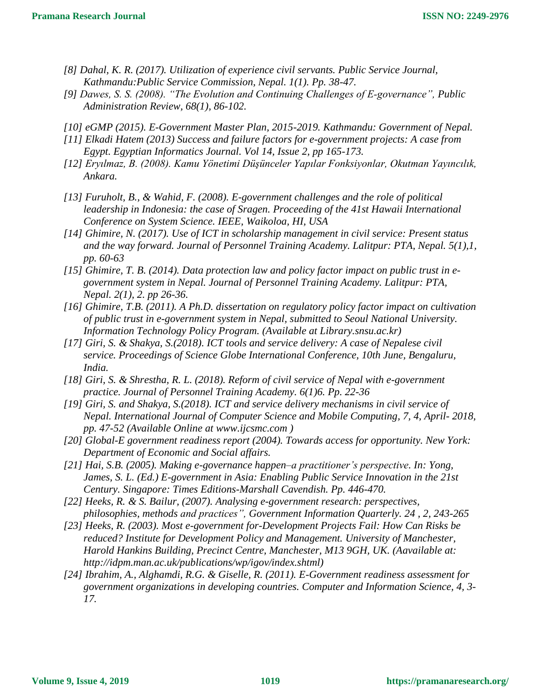- *[8] Dahal, K. R. (2017). Utilization of experience civil servants. Public Service Journal, Kathmandu:Public Service Commission, Nepal. 1(1). Pp. 38-47.*
- *[9] Dawes, S. S. (2008). "The Evolution and Continuing Challenges of E‐governance", Public Administration Review, 68(1), 86-102.*
- *[10] eGMP (2015). E-Government Master Plan, 2015-2019. Kathmandu: Government of Nepal.*
- *[11] Elkadi [Hatem \(](https://www.sciencedirect.com/science/article/pii/S1110866513000236#!)2013) Success and failure factors for e-government projects: A case from Egypt. [Egyptian Informatics Journal.](https://www.sciencedirect.com/science/journal/11108665) [Vol 14, Issue 2,](https://www.sciencedirect.com/science/journal/11108665/14/2) pp 165-173.*
- *[12] Eryılmaz, B. (2008). Kamu Yönetimi Düşünceler Yapılar Fonksiyonlar, Okutman Yayıncılık, Ankara.*
- *[13] Furuholt, B., & Wahid, F. (2008). E-government challenges and the role of political leadership in Indonesia: the case of Sragen. Proceeding of the 41st Hawaii International Conference on System Science. IEEE, Waikoloa, HI, USA*
- *[14] Ghimire, N. (2017). Use of ICT in scholarship management in civil service: Present status and the way forward. Journal of Personnel Training Academy. Lalitpur: PTA, Nepal. 5(1),1, pp. 60-63*
- *[15] Ghimire, T. B. (2014). Data protection law and policy factor impact on public trust in egovernment system in Nepal. Journal of Personnel Training Academy. Lalitpur: PTA, Nepal. 2(1), 2. pp 26-36.*
- *[16] Ghimire, T.B. (2011). A Ph.D. dissertation on regulatory policy factor impact on cultivation of public trust in e-government system in Nepal, submitted to Seoul National University. Information Technology Policy Program. (Available at Library.snsu.ac.kr)*
- *[17] Giri, S. & Shakya, S.(2018). ICT tools and service delivery: A case of Nepalese civil service. Proceedings of Science Globe International Conference, 10th June, Bengaluru, India.*
- *[18] Giri, S. & Shrestha, R. L. (2018). Reform of civil service of Nepal with e-government practice. Journal of Personnel Training Academy. 6(1)6. Pp. 22-36*
- *[19] Giri, S. and Shakya, S.(2018). ICT and service delivery mechanisms in civil service of Nepal. International Journal of Computer Science and Mobile Computing, 7, 4, April- 2018, pp. 47-52 (Available Online at [www.ijcsmc.com](http://www.ijcsmc.com/) )*
- *[20] Global-E government readiness report (2004). Towards access for opportunity. New York: Department of Economic and Social affairs.*
- *[21] Hai, S.B. (2005). Making e-governance happen–a practitioner's perspective. In: Yong, James, S. L. (Ed.) E-government in Asia: Enabling Public Service Innovation in the 21st Century. Singapore: Times Editions-Marshall Cavendish. Pp. 446-470.*
- *[22] Heeks, R. & S. Bailur, (2007). Analysing e-government research: perspectives, philosophies, methods and practices", Government Information Quarterly. 24 , 2, 243-265*
- *[23] Heeks, R. (2003). Most e-government for-Development Projects Fail: How Can Risks be reduced? Institute for Development Policy and Management. University of Manchester, Harold Hankins Building, Precinct Centre, Manchester, M13 9GH, UK. (Aavailable at: http://idpm.man.ac.uk/publications/wp/igov/index.shtml)*
- *[24] Ibrahim, A., Alghamdi, R.G. & Giselle, R. (2011). E-Government readiness assessment for government organizations in developing countries. Computer and Information Science, 4, 3- 17.*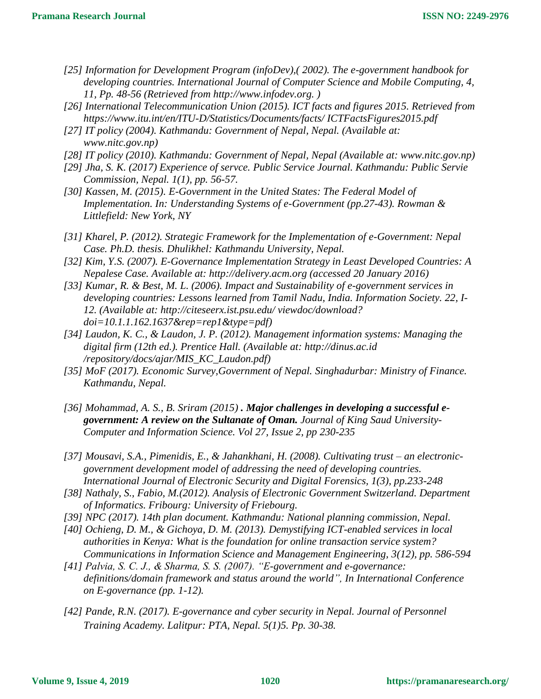- *[25] Information for Development Program (infoDev),( 2002). The e-government handbook for developing countries. International Journal of Computer Science and Mobile Computing, 4, 11, Pp. 48-56 (Retrieved from http://www.infodev.org. )*
- *[26] International Telecommunication Union (2015). ICT facts and figures 2015. Retrieved from https://www.itu.int/en/ITU-D/Statistics/Documents/facts/ ICTFactsFigures2015.pdf*
- *[27] IT policy (2004). Kathmandu: Government of Nepal, Nepal. (Available at: www.nitc.gov.np)*
- *[28] IT policy (2010). Kathmandu: Government of Nepal, Nepal (Available at: www.nitc.gov.np)*
- *[29] Jha, S. K. (2017) Experience of servce. Public Service Journal. Kathmandu: Public Servie Commission, Nepal. 1(1), pp. 56-57.*
- *[30] Kassen, M. (2015). E-Government in the United States: The Federal Model of Implementation. In: Understanding Systems of e-Government (pp.27-43). Rowman & Littlefield: New York, NY*
- *[31] Kharel, P. (2012). Strategic Framework for the Implementation of e-Government: Nepal Case. Ph.D. thesis. Dhulikhel: Kathmandu University, Nepal.*
- *[32] Kim, Y.S. (2007). E-Governance Implementation Strategy in Least Developed Countries: A Nepalese Case. Available at: http://delivery.acm.org (accessed 20 January 2016)*
- *[33] Kumar, R. & Best, M. L. (2006). Impact and Sustainability of e-government services in developing countries: Lessons learned from Tamil Nadu, India. Information Society. 22, I-12. (Available at: http://citeseerx.ist.psu.edu/ viewdoc/download? doi=10.1.1.162.1637&rep=rep1&type=pdf)*
- *[34] Laudon, K. C., & Laudon, J. P. (2012). Management information systems: Managing the digital firm (12th ed.). Prentice Hall. (Available at: http://dinus.ac.id /repository/docs/ajar/MIS\_KC\_Laudon.pdf)*
- *[35] MoF (2017). Economic Survey,Government of Nepal. Singhadurbar: Ministry of Finance. Kathmandu, Nepal.*
- *[36] [Mohammad, A. S., B. Sriram](https://www.sciencedirect.com/science/article/pii/S131915781500021X#!) (2015) . Major challenges in developing a successful egovernment: A review on the Sultanate of Oman. Journal of King Saud University-Computer and Information Science. Vol 27, Issue 2, pp 230-235*
- *[37] Mousavi, S.A., Pimenidis, E., & Jahankhani, H. (2008). Cultivating trust – an electronicgovernment development model of addressing the need of developing countries. International Journal of Electronic Security and Digital Forensics, 1(3), pp.233-248*
- *[38] Nathaly, S., Fabio, M.(2012). Analysis of Electronic Government Switzerland. Department of Informatics. Fribourg: University of Friebourg.*
- *[39] NPC (2017). 14th plan document. Kathmandu: National planning commission, Nepal.*
- *[40] Ochieng, D. M., & Gichoya, D. M. (2013). Demystifying ICT-enabled services in local authorities in Kenya: What is the foundation for online transaction service system? Communications in Information Science and Management Engineering, 3(12), pp. 586-594*
- *[41] Palvia, S. C. J., & Sharma, S. S. (2007). "E-government and e-governance: definitions/domain framework and status around the world", In International Conference on E-governance (pp. 1-12).*
- *[42] Pande, R.N. (2017). E-governance and cyber security in Nepal. Journal of Personnel Training Academy. Lalitpur: PTA, Nepal. 5(1)5. Pp. 30-38.*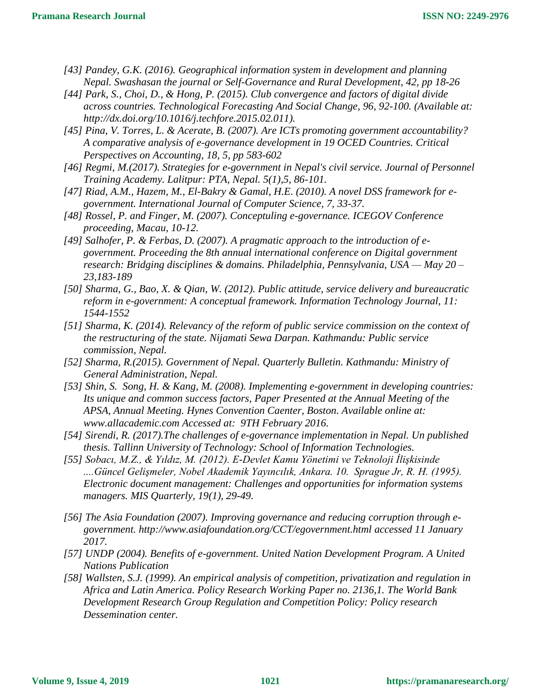- *[43] Pandey, G.K. (2016). Geographical information system in development and planning Nepal. Swashasan the journal or Self-Governance and Rural Development, 42, pp 18-26*
- *[44] Park, S., Choi, D., & Hong, P. (2015). Club convergence and factors of digital divide across countries. Technological Forecasting And Social Change, 96, 92-100. (Available at: http://dx.doi.org/10.1016/j.techfore.2015.02.011).*
- *[45] Pina, V. Torres, L. & Acerate, B. (2007). Are ICTs promoting government accountability? A comparative analysis of e-governance development in 19 OCED Countries. Critical Perspectives on Accounting, 18, 5, pp 583-602*
- *[46] Regmi, M.(2017). Strategies for e-government in Nepal's civil service. Journal of Personnel Training Academy. Lalitpur: PTA, Nepal. 5(1),5, 86-101.*
- *[47] Riad, A.M., Hazem, M., El-Bakry & Gamal, H.E. (2010). A novel DSS framework for egovernment. International Journal of Computer Science, 7, 33-37.*
- *[48] Rossel, P. and Finger, M. (2007). Conceptuling e-governance. ICEGOV Conference proceeding, Macau, 10-12.*
- *[49] Salhofer, P. & Ferbas, D. (2007). A pragmatic approach to the introduction of egovernment. Proceeding the 8th annual international conference on Digital government research: Bridging disciplines & domains. Philadelphia, Pennsylvania, USA — May 20 – 23,183-189*
- *[50] Sharma, G., Bao, X. & Qian, W. (2012). Public attitude, service delivery and bureaucratic reform in e-government: A conceptual framework. Information Technology Journal, 11: 1544-1552*
- *[51] Sharma, K. (2014). Relevancy of the reform of public service commission on the context of the restructuring of the state. Nijamati Sewa Darpan. Kathmandu: Public service commission, Nepal.*
- *[52] Sharma, R.(2015). Government of Nepal. Quarterly Bulletin. Kathmandu: Ministry of General Administration, Nepal.*
- *[53] Shin, S. Song, H. & Kang, M. (2008). Implementing e-government in developing countries: Its unique and common success factors, Paper Presented at the Annual Meeting of the APSA, Annual Meeting. Hynes Convention Caenter, Boston. Available online at: [www.allacademic.com](http://www.allacademic.com/) Accessed at: 9TH February 2016.*
- *[54] Sirendi, R. (2017).The challenges of e-governance implementation in Nepal. Un published thesis. Tallinn University of Technology: School of Information Technologies.*
- *[55] Sobacı, M.Z., & Yıldız, M. (2012). E-Devlet Kamu Yönetimi ve Teknoloji İlişkisinde ....Güncel Gelişmeler, Nobel Akademik Yayıncılık, Ankara. 10. Sprague Jr, R. H. (1995). Electronic document management: Challenges and opportunities for information systems managers. MIS Quarterly, 19(1), 29-49.*
- *[56] The Asia Foundation (2007). Improving governance and reducing corruption through egovernment. <http://www.asiafoundation.org/CCT/egovernment.html> accessed 11 January 2017.*
- *[57] UNDP (2004). Benefits of e-government. United Nation Development Program. A United Nations Publication*
- *[58] Wallsten, S.J. (1999). An empirical analysis of competition, privatization and regulation in Africa and Latin America. Policy Research Working Paper no. 2136,1. The World Bank Development Research Group Regulation and Competition Policy: Policy research Dessemination center.*